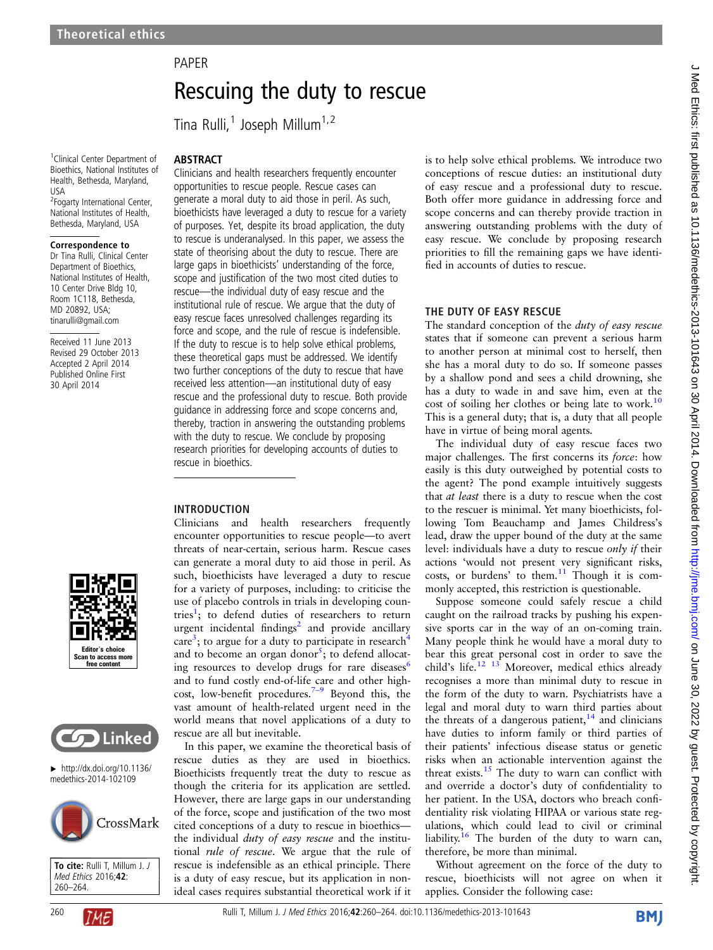PAPER

ABSTRACT

rescue in bioethics.

INTRODUCTION

rescue are all but inevitable.

# Rescuing the duty to rescue

Clinicians and health researchers frequently encounter opportunities to rescue people. Rescue cases can generate a moral duty to aid those in peril. As such, bioethicists have leveraged a duty to rescue for a variety of purposes. Yet, despite its broad application, the duty to rescue is underanalysed. In this paper, we assess the state of theorising about the duty to rescue. There are large gaps in bioethicists' understanding of the force, scope and justification of the two most cited duties to rescue—the individual duty of easy rescue and the institutional rule of rescue. We argue that the duty of easy rescue faces unresolved challenges regarding its force and scope, and the rule of rescue is indefensible. If the duty to rescue is to help solve ethical problems, these theoretical gaps must be addressed. We identify two further conceptions of the duty to rescue that have received less attention—an institutional duty of easy rescue and the professional duty to rescue. Both provide guidance in addressing force and scope concerns and, thereby, traction in answering the outstanding problems with the duty to rescue. We conclude by proposing research priorities for developing accounts of duties to

Clinicians and health researchers frequently encounter opportunities to rescue people—to avert threats of near-certain, serious harm. Rescue cases can generate a moral duty to aid those in peril. As such, bioethicists have leveraged a duty to rescue for a variety of purposes, including: to criticise the use of placebo controls in trials in developing countries<sup>1</sup>; to defend duties of researchers to return urgent incidental findings $2$  and provide ancillary care<sup>[3](#page-4-0)</sup>; to argue for a duty to participate in research<sup>[4](#page-4-0)</sup> and to become an organ donor<sup>[5](#page-4-0)</sup>; to defend allocating resources to develop drugs for rare diseases  $6$ and to fund costly end-of-life care and other high-cost, low-benefit procedures.<sup>[7](#page-4-0)–9</sup> Beyond this, the vast amount of health-related urgent need in the world means that novel applications of a duty to

In this paper, we examine the theoretical basis of rescue duties as they are used in bioethics. Bioethicists frequently treat the duty to rescue as though the criteria for its application are settled. However, there are large gaps in our understanding of the force, scope and justification of the two most cited conceptions of a duty to rescue in bioethics the individual duty of easy rescue and the institutional rule of rescue. We argue that the rule of rescue is indefensible as an ethical principle. There is a duty of easy rescue, but its application in nonideal cases requires substantial theoretical work if it

Tina Rulli,<sup>1</sup> Joseph Millum<sup>1,2</sup>

#### <sup>1</sup> Clinical Center Department of Bioethics, National Institutes of Health, Bethesda, Maryland, USA

<sup>2</sup> Fogarty International Center, National Institutes of Health, Bethesda, Maryland, USA

#### Correspondence to

Dr Tina Rulli, Clinical Center Department of Bioethics, National Institutes of Health, 10 Center Drive Bldg 10, Room 1C118, Bethesda, MD 20892, USA; tinarulli@gmail.com

Received 11 June 2013 Revised 29 October 2013 Accepted 2 April 2014 Published Online First 30 April 2014





▸ [http://dx.doi.org/10.1136/](http://dx.doi.org/10.1136/medethics-2014-102109) [medethics-2014-102109](http://dx.doi.org/10.1136/medethics-2014-102109)



To cite: Rulli T. Millum J. J. Med Ethics 2016;42: 260–264.



**BMI** 

is to help solve ethical problems. We introduce two conceptions of rescue duties: an institutional duty of easy rescue and a professional duty to rescue. Both offer more guidance in addressing force and scope concerns and can thereby provide traction in answering outstanding problems with the duty of easy rescue. We conclude by proposing research priorities to fill the remaining gaps we have identified in accounts of duties to rescue.

# THE DUTY OF EASY RESCUE

The standard conception of the *duty of easy rescue* states that if someone can prevent a serious harm to another person at minimal cost to herself, then she has a moral duty to do so. If someone passes by a shallow pond and sees a child drowning, she has a duty to wade in and save him, even at the cost of soiling her clothes or being late to work.<sup>[10](#page-4-0)</sup> This is a general duty; that is, a duty that all people have in virtue of being moral agents.

The individual duty of easy rescue faces two major challenges. The first concerns its force: how easily is this duty outweighed by potential costs to the agent? The pond example intuitively suggests that *at least* there is a duty to rescue when the cost to the rescuer is minimal. Yet many bioethicists, following Tom Beauchamp and James Childress's lead, draw the upper bound of the duty at the same level: individuals have a duty to rescue only if their actions 'would not present very significant risks, costs, or burdens' to them.[11](#page-4-0) Though it is commonly accepted, this restriction is questionable.

Suppose someone could safely rescue a child caught on the railroad tracks by pushing his expensive sports car in the way of an on-coming train. Many people think he would have a moral duty to bear this great personal cost in order to save the child's life.<sup>12</sup> <sup>13</sup> Moreover, medical ethics already recognises a more than minimal duty to rescue in the form of the duty to warn. Psychiatrists have a legal and moral duty to warn third parties about the threats of a dangerous patient, $14$  and clinicians have duties to inform family or third parties of their patients' infectious disease status or genetic risks when an actionable intervention against the threat exists.<sup>[15](#page-4-0)</sup> The duty to warn can conflict with and override a doctor's duty of confidentiality to her patient. In the USA, doctors who breach confidentiality risk violating HIPAA or various state regulations, which could lead to civil or criminal liability.<sup>[16](#page-4-0)</sup> The burden of the duty to warn can, therefore, be more than minimal.

Without agreement on the force of the duty to rescue, bioethicists will not agree on when it applies. Consider the following case: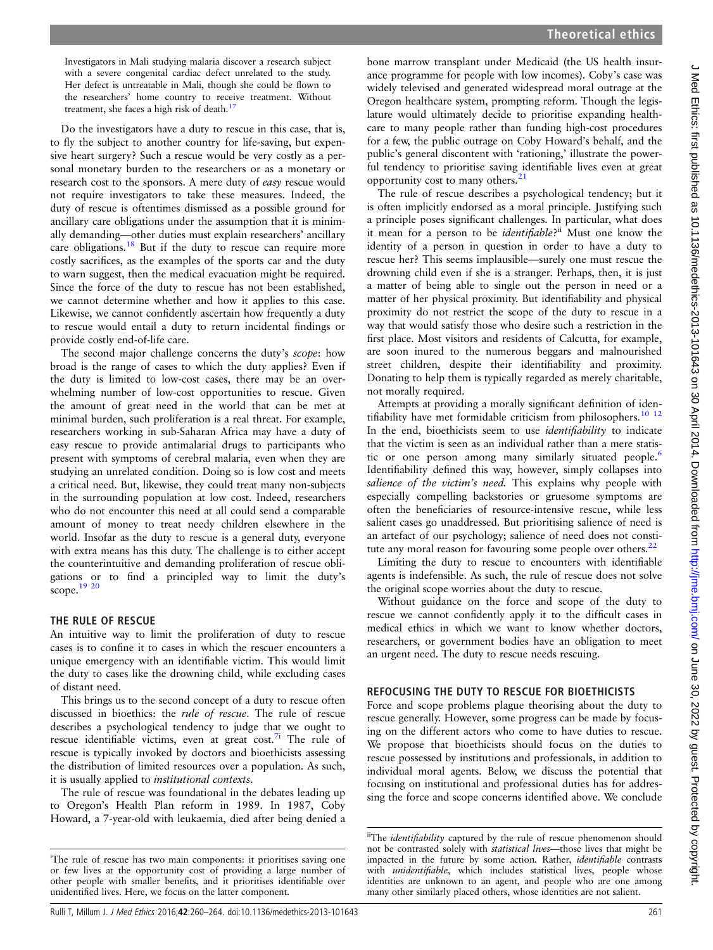Investigators in Mali studying malaria discover a research subject with a severe congenital cardiac defect unrelated to the study. Her defect is untreatable in Mali, though she could be flown to the researchers' home country to receive treatment. Without treatment, she faces a high risk of death.<sup>[17](#page-4-0)</sup>

Do the investigators have a duty to rescue in this case, that is, to fly the subject to another country for life-saving, but expensive heart surgery? Such a rescue would be very costly as a personal monetary burden to the researchers or as a monetary or research cost to the sponsors. A mere duty of easy rescue would not require investigators to take these measures. Indeed, the duty of rescue is oftentimes dismissed as a possible ground for ancillary care obligations under the assumption that it is minimally demanding—other duties must explain researchers' ancillary care obligations.<sup>[18](#page-4-0)</sup> But if the duty to rescue can require more costly sacrifices, as the examples of the sports car and the duty to warn suggest, then the medical evacuation might be required. Since the force of the duty to rescue has not been established, we cannot determine whether and how it applies to this case. Likewise, we cannot confidently ascertain how frequently a duty to rescue would entail a duty to return incidental findings or provide costly end-of-life care.

The second major challenge concerns the duty's scope: how broad is the range of cases to which the duty applies? Even if the duty is limited to low-cost cases, there may be an overwhelming number of low-cost opportunities to rescue. Given the amount of great need in the world that can be met at minimal burden, such proliferation is a real threat. For example, researchers working in sub-Saharan Africa may have a duty of easy rescue to provide antimalarial drugs to participants who present with symptoms of cerebral malaria, even when they are studying an unrelated condition. Doing so is low cost and meets a critical need. But, likewise, they could treat many non-subjects in the surrounding population at low cost. Indeed, researchers who do not encounter this need at all could send a comparable amount of money to treat needy children elsewhere in the world. Insofar as the duty to rescue is a general duty, everyone with extra means has this duty. The challenge is to either accept the counterintuitive and demanding proliferation of rescue obligations or to find a principled way to limit the duty's scope.[19 20](#page-4-0)

# THE RULE OF RESCUE

An intuitive way to limit the proliferation of duty to rescue cases is to confine it to cases in which the rescuer encounters a unique emergency with an identifiable victim. This would limit the duty to cases like the drowning child, while excluding cases of distant need.

This brings us to the second concept of a duty to rescue often discussed in bioethics: the rule of rescue. The rule of rescue describes a psychological tendency to judge that we ought to rescue identifiable victims, even at great cost.<sup>[7i](#page-4-0)</sup> The rule of rescue is typically invoked by doctors and bioethicists assessing the distribution of limited resources over a population. As such, it is usually applied to institutional contexts.

The rule of rescue was foundational in the debates leading up to Oregon's Health Plan reform in 1989. In 1987, Coby Howard, a 7-year-old with leukaemia, died after being denied a

bone marrow transplant under Medicaid (the US health insurance programme for people with low incomes). Coby's case was widely televised and generated widespread moral outrage at the Oregon healthcare system, prompting reform. Though the legislature would ultimately decide to prioritise expanding healthcare to many people rather than funding high-cost procedures for a few, the public outrage on Coby Howard's behalf, and the public's general discontent with 'rationing,' illustrate the powerful tendency to prioritise saving identifiable lives even at great opportunity cost to many others. $21$ 

The rule of rescue describes a psychological tendency; but it is often implicitly endorsed as a moral principle. Justifying such a principle poses significant challenges. In particular, what does it mean for a person to be *identifiable?*<sup>ii</sup> Must one know the identity of a person in question in order to have a duty to rescue her? This seems implausible—surely one must rescue the drowning child even if she is a stranger. Perhaps, then, it is just a matter of being able to single out the person in need or a matter of her physical proximity. But identifiability and physical proximity do not restrict the scope of the duty to rescue in a way that would satisfy those who desire such a restriction in the first place. Most visitors and residents of Calcutta, for example, are soon inured to the numerous beggars and malnourished street children, despite their identifiability and proximity. Donating to help them is typically regarded as merely charitable, not morally required.

Attempts at providing a morally significant definition of identifiability have met formidable criticism from philosophers.<sup>10</sup><sup>12</sup> In the end, bioethicists seem to use *identifiability* to indicate that the victim is seen as an individual rather than a mere statis-tic or one person among many similarly situated people.<sup>[6](#page-4-0)</sup> Identifiability defined this way, however, simply collapses into salience of the victim's need. This explains why people with especially compelling backstories or gruesome symptoms are often the beneficiaries of resource-intensive rescue, while less salient cases go unaddressed. But prioritising salience of need is an artefact of our psychology; salience of need does not constitute any moral reason for favouring some people over others. $22$ 

Limiting the duty to rescue to encounters with identifiable agents is indefensible. As such, the rule of rescue does not solve the original scope worries about the duty to rescue.

Without guidance on the force and scope of the duty to rescue we cannot confidently apply it to the difficult cases in medical ethics in which we want to know whether doctors, researchers, or government bodies have an obligation to meet an urgent need. The duty to rescue needs rescuing.

### REFOCUSING THE DUTY TO RESCUE FOR BIOETHICISTS

Force and scope problems plague theorising about the duty to rescue generally. However, some progress can be made by focusing on the different actors who come to have duties to rescue. We propose that bioethicists should focus on the duties to rescue possessed by institutions and professionals, in addition to individual moral agents. Below, we discuss the potential that focusing on institutional and professional duties has for addressing the force and scope concerns identified above. We conclude

<sup>&</sup>lt;sup>i</sup>The rule of rescue has two main components: it prioritises saving one or few lives at the opportunity cost of providing a large number of other people with smaller benefits, and it prioritises identifiable over unidentified lives. Here, we focus on the latter component.

i<sup>i</sup>The *identifiability* captured by the rule of rescue phenomenon should not be contrasted solely with statistical lives—those lives that might be impacted in the future by some action. Rather, identifiable contrasts with *unidentifiable*, which includes statistical lives, people whose identities are unknown to an agent, and people who are one among many other similarly placed others, whose identities are not salient.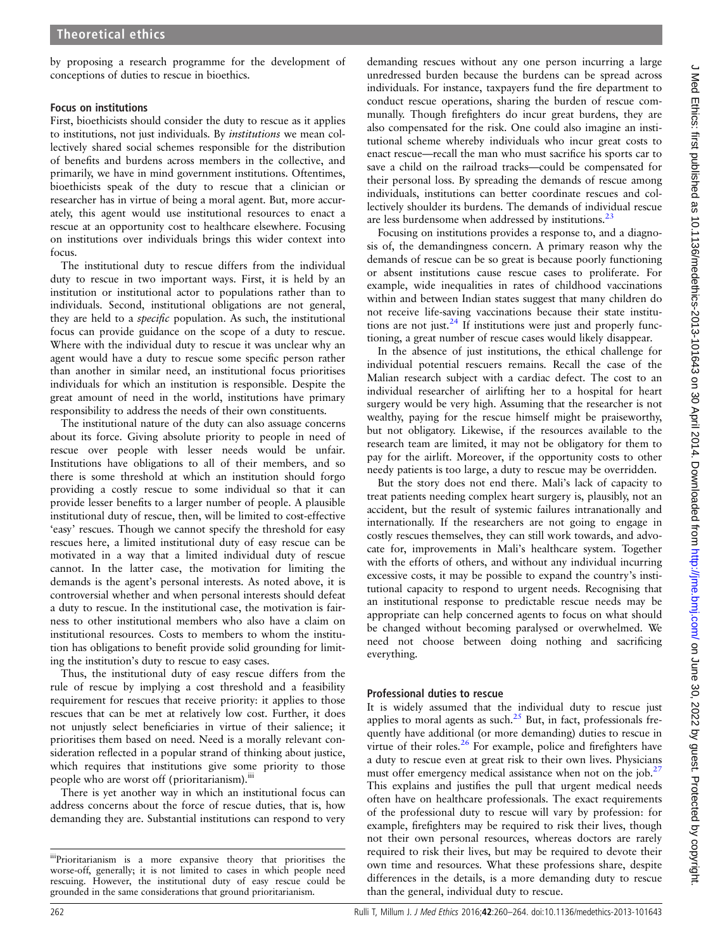J Med Ethics: first published as 10.1136/medethics-2013-101643 on 30 April 2014. Downloaded from http://jme.bmj.com/ on June 30, 2022 by guest. Protected by copyright J Med Ethics: first published as 10.1136/medethics-2013-101643 on 30 April 2014. Downloaded from <http://jme.bmj.com/> on June 30, 2022 by guest. Protected by copyright.

by proposing a research programme for the development of conceptions of duties to rescue in bioethics.

### Focus on institutions

First, bioethicists should consider the duty to rescue as it applies to institutions, not just individuals. By institutions we mean collectively shared social schemes responsible for the distribution of benefits and burdens across members in the collective, and primarily, we have in mind government institutions. Oftentimes, bioethicists speak of the duty to rescue that a clinician or researcher has in virtue of being a moral agent. But, more accurately, this agent would use institutional resources to enact a rescue at an opportunity cost to healthcare elsewhere. Focusing on institutions over individuals brings this wider context into focus.

The institutional duty to rescue differs from the individual duty to rescue in two important ways. First, it is held by an institution or institutional actor to populations rather than to individuals. Second, institutional obligations are not general, they are held to a specific population. As such, the institutional focus can provide guidance on the scope of a duty to rescue. Where with the individual duty to rescue it was unclear why an agent would have a duty to rescue some specific person rather than another in similar need, an institutional focus prioritises individuals for which an institution is responsible. Despite the great amount of need in the world, institutions have primary responsibility to address the needs of their own constituents.

The institutional nature of the duty can also assuage concerns about its force. Giving absolute priority to people in need of rescue over people with lesser needs would be unfair. Institutions have obligations to all of their members, and so there is some threshold at which an institution should forgo providing a costly rescue to some individual so that it can provide lesser benefits to a larger number of people. A plausible institutional duty of rescue, then, will be limited to cost-effective 'easy' rescues. Though we cannot specify the threshold for easy rescues here, a limited institutional duty of easy rescue can be motivated in a way that a limited individual duty of rescue cannot. In the latter case, the motivation for limiting the demands is the agent's personal interests. As noted above, it is controversial whether and when personal interests should defeat a duty to rescue. In the institutional case, the motivation is fairness to other institutional members who also have a claim on institutional resources. Costs to members to whom the institution has obligations to benefit provide solid grounding for limiting the institution's duty to rescue to easy cases.

Thus, the institutional duty of easy rescue differs from the rule of rescue by implying a cost threshold and a feasibility requirement for rescues that receive priority: it applies to those rescues that can be met at relatively low cost. Further, it does not unjustly select beneficiaries in virtue of their salience; it prioritises them based on need. Need is a morally relevant consideration reflected in a popular strand of thinking about justice, which requires that institutions give some priority to those people who are worst off (prioritarianism).<sup>iii</sup>

There is yet another way in which an institutional focus can address concerns about the force of rescue duties, that is, how demanding they are. Substantial institutions can respond to very

demanding rescues without any one person incurring a large unredressed burden because the burdens can be spread across individuals. For instance, taxpayers fund the fire department to conduct rescue operations, sharing the burden of rescue communally. Though firefighters do incur great burdens, they are also compensated for the risk. One could also imagine an institutional scheme whereby individuals who incur great costs to enact rescue—recall the man who must sacrifice his sports car to save a child on the railroad tracks—could be compensated for their personal loss. By spreading the demands of rescue among individuals, institutions can better coordinate rescues and collectively shoulder its burdens. The demands of individual rescue are less burdensome when addressed by institutions.<sup>[23](#page-4-0)</sup>

Focusing on institutions provides a response to, and a diagnosis of, the demandingness concern. A primary reason why the demands of rescue can be so great is because poorly functioning or absent institutions cause rescue cases to proliferate. For example, wide inequalities in rates of childhood vaccinations within and between Indian states suggest that many children do not receive life-saving vaccinations because their state institutions are not just. $24$  If institutions were just and properly functioning, a great number of rescue cases would likely disappear.

In the absence of just institutions, the ethical challenge for individual potential rescuers remains. Recall the case of the Malian research subject with a cardiac defect. The cost to an individual researcher of airlifting her to a hospital for heart surgery would be very high. Assuming that the researcher is not wealthy, paying for the rescue himself might be praiseworthy, but not obligatory. Likewise, if the resources available to the research team are limited, it may not be obligatory for them to pay for the airlift. Moreover, if the opportunity costs to other needy patients is too large, a duty to rescue may be overridden.

But the story does not end there. Mali's lack of capacity to treat patients needing complex heart surgery is, plausibly, not an accident, but the result of systemic failures intranationally and internationally. If the researchers are not going to engage in costly rescues themselves, they can still work towards, and advocate for, improvements in Mali's healthcare system. Together with the efforts of others, and without any individual incurring excessive costs, it may be possible to expand the country's institutional capacity to respond to urgent needs. Recognising that an institutional response to predictable rescue needs may be appropriate can help concerned agents to focus on what should be changed without becoming paralysed or overwhelmed. We need not choose between doing nothing and sacrificing everything.

# Professional duties to rescue

It is widely assumed that the individual duty to rescue just applies to moral agents as such. $25$  But, in fact, professionals frequently have additional (or more demanding) duties to rescue in virtue of their roles. $26$  For example, police and firefighters have a duty to rescue even at great risk to their own lives. Physicians must offer emergency medical assistance when not on the job.<sup>[27](#page-4-0)</sup> This explains and justifies the pull that urgent medical needs often have on healthcare professionals. The exact requirements of the professional duty to rescue will vary by profession: for example, firefighters may be required to risk their lives, though not their own personal resources, whereas doctors are rarely required to risk their lives, but may be required to devote their own time and resources. What these professions share, despite differences in the details, is a more demanding duty to rescue than the general, individual duty to rescue.

iiiPrioritarianism is a more expansive theory that prioritises the worse-off, generally; it is not limited to cases in which people need rescuing. However, the institutional duty of easy rescue could be grounded in the same considerations that ground prioritarianism.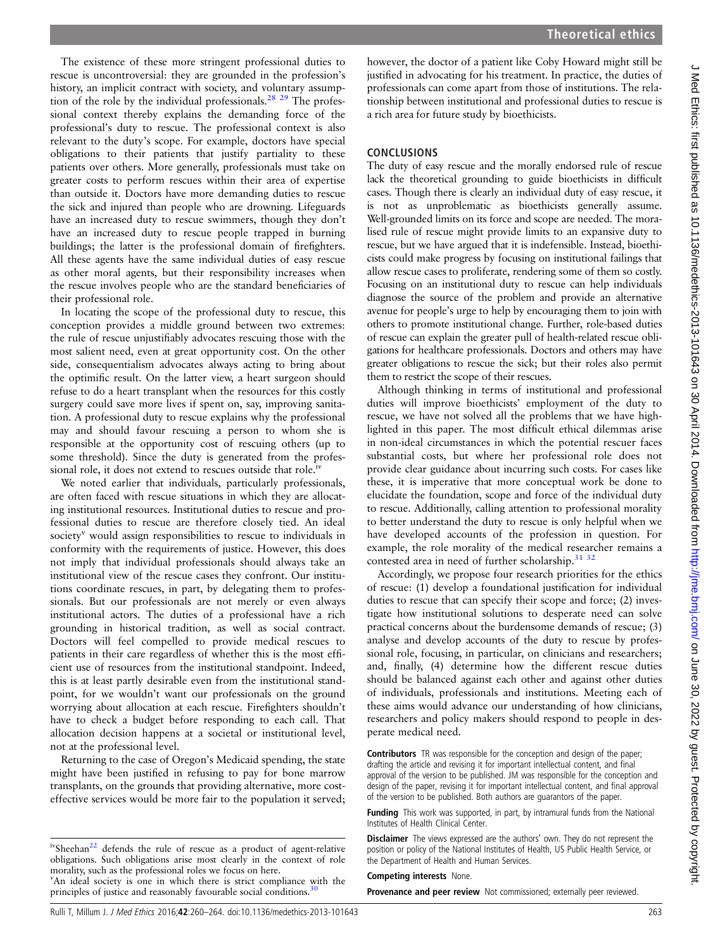The existence of these more stringent professional duties to rescue is uncontroversial: they are grounded in the profession's history, an implicit contract with society, and voluntary assumption of the role by the individual professionals.<sup>28</sup> <sup>29</sup> The professional context thereby explains the demanding force of the professional's duty to rescue. The professional context is also relevant to the duty's scope. For example, doctors have special obligations to their patients that justify partiality to these patients over others. More generally, professionals must take on greater costs to perform rescues within their area of expertise than outside it. Doctors have more demanding duties to rescue the sick and injured than people who are drowning. Lifeguards have an increased duty to rescue swimmers, though they don't have an increased duty to rescue people trapped in burning buildings; the latter is the professional domain of firefighters. All these agents have the same individual duties of easy rescue as other moral agents, but their responsibility increases when the rescue involves people who are the standard beneficiaries of their professional role.

In locating the scope of the professional duty to rescue, this conception provides a middle ground between two extremes: the rule of rescue unjustifiably advocates rescuing those with the most salient need, even at great opportunity cost. On the other side, consequentialism advocates always acting to bring about the optimific result. On the latter view, a heart surgeon should refuse to do a heart transplant when the resources for this costly surgery could save more lives if spent on, say, improving sanitation. A professional duty to rescue explains why the professional may and should favour rescuing a person to whom she is responsible at the opportunity cost of rescuing others (up to some threshold). Since the duty is generated from the professional role, it does not extend to rescues outside that role.<sup>iv</sup>

We noted earlier that individuals, particularly professionals, are often faced with rescue situations in which they are allocating institutional resources. Institutional duties to rescue and professional duties to rescue are therefore closely tied. An ideal society<sup>v</sup> would assign responsibilities to rescue to individuals in conformity with the requirements of justice. However, this does not imply that individual professionals should always take an institutional view of the rescue cases they confront. Our institutions coordinate rescues, in part, by delegating them to professionals. But our professionals are not merely or even always institutional actors. The duties of a professional have a rich grounding in historical tradition, as well as social contract. Doctors will feel compelled to provide medical rescues to patients in their care regardless of whether this is the most efficient use of resources from the institutional standpoint. Indeed, this is at least partly desirable even from the institutional standpoint, for we wouldn't want our professionals on the ground worrying about allocation at each rescue. Firefighters shouldn't have to check a budget before responding to each call. That allocation decision happens at a societal or institutional level, not at the professional level.

Returning to the case of Oregon's Medicaid spending, the state might have been justified in refusing to pay for bone marrow transplants, on the grounds that providing alternative, more costeffective services would be more fair to the population it served;

however, the doctor of a patient like Coby Howard might still be justified in advocating for his treatment. In practice, the duties of professionals can come apart from those of institutions. The relationship between institutional and professional duties to rescue is a rich area for future study by bioethicists.

## **CONCLUSIONS**

The duty of easy rescue and the morally endorsed rule of rescue lack the theoretical grounding to guide bioethicists in difficult cases. Though there is clearly an individual duty of easy rescue, it is not as unproblematic as bioethicists generally assume. Well-grounded limits on its force and scope are needed. The moralised rule of rescue might provide limits to an expansive duty to rescue, but we have argued that it is indefensible. Instead, bioethicists could make progress by focusing on institutional failings that allow rescue cases to proliferate, rendering some of them so costly. Focusing on an institutional duty to rescue can help individuals diagnose the source of the problem and provide an alternative avenue for people's urge to help by encouraging them to join with others to promote institutional change. Further, role-based duties of rescue can explain the greater pull of health-related rescue obligations for healthcare professionals. Doctors and others may have greater obligations to rescue the sick; but their roles also permit them to restrict the scope of their rescues.

Although thinking in terms of institutional and professional duties will improve bioethicists' employment of the duty to rescue, we have not solved all the problems that we have highlighted in this paper. The most difficult ethical dilemmas arise in non-ideal circumstances in which the potential rescuer faces substantial costs, but where her professional role does not provide clear guidance about incurring such costs. For cases like these, it is imperative that more conceptual work be done to elucidate the foundation, scope and force of the individual duty to rescue. Additionally, calling attention to professional morality to better understand the duty to rescue is only helpful when we have developed accounts of the profession in question. For example, the role morality of the medical researcher remains a contested area in need of further scholarship. $3132$ 

Accordingly, we propose four research priorities for the ethics of rescue: (1) develop a foundational justification for individual duties to rescue that can specify their scope and force; (2) investigate how institutional solutions to desperate need can solve practical concerns about the burdensome demands of rescue; (3) analyse and develop accounts of the duty to rescue by professional role, focusing, in particular, on clinicians and researchers; and, finally, (4) determine how the different rescue duties should be balanced against each other and against other duties of individuals, professionals and institutions. Meeting each of these aims would advance our understanding of how clinicians, researchers and policy makers should respond to people in desperate medical need.

Contributors TR was responsible for the conception and design of the paper; drafting the article and revising it for important intellectual content, and final approval of the version to be published. JM was responsible for the conception and design of the paper, revising it for important intellectual content, and final approval of the version to be published. Both authors are guarantors of the paper.

Funding This work was supported, in part, by intramural funds from the National Institutes of Health Clinical Center.

Competing interests None.

**Provenance and peer review** Not commissioned; externally peer reviewed.

ivSheehan<sup>[22](#page-4-0)</sup> defends the rule of rescue as a product of agent-relative obligations. Such obligations arise most clearly in the context of role morality, such as the professional roles we focus on here.

<sup>&</sup>lt;sup>v</sup>An ideal society is one in which there is strict compliance with the principles of justice and reasonably favourable social conditions.<sup>3</sup>

Disclaimer The views expressed are the authors' own. They do not represent the position or policy of the National Institutes of Health, US Public Health Service, or the Department of Health and Human Services.